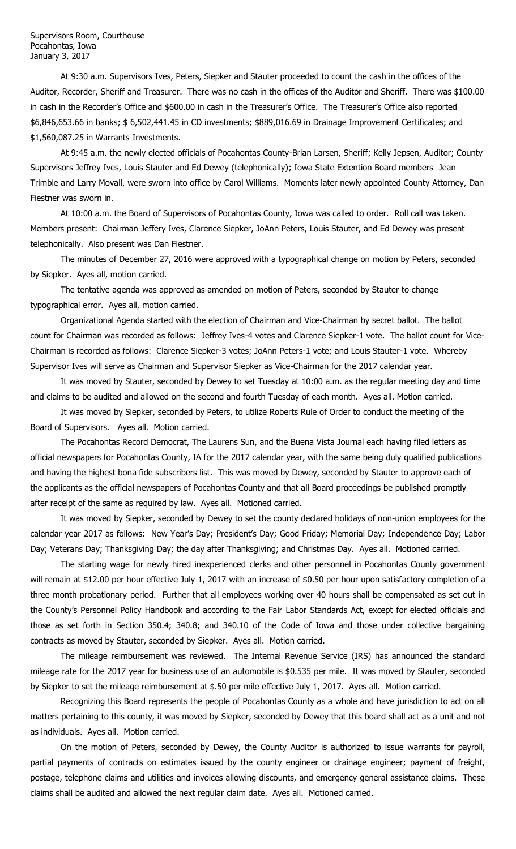Supervisors Room, Courthouse Pocahontas, Iowa January 3, 2017

At 9:30 a.m. Supervisors Ives, Peters, Siepker and Stauter proceeded to count the cash in the offices of the Auditor, Recorder, Sheriff and Treasurer. There was no cash in the offices of the Auditor and Sheriff. There was \$100.00 in cash in the Recorder's Office and \$600.00 in cash in the Treasurer's Office. The Treasurer's Office also reported \$6,846,653.66 in banks; \$ 6,502,441.45 in CD investments; \$889,016.69 in Drainage Improvement Certificates; and \$1,560,087.25 in Warrants Investments.

At 9:45 a.m. the newly elected officials of Pocahontas County-Brian Larsen, Sheriff; Kelly Jepsen, Auditor; County Supervisors Jeffrey Ives, Louis Stauter and Ed Dewey (telephonically); Iowa State Extention Board members Jean Trimble and Larry Movall, were sworn into office by Carol Williams. Moments later newly appointed County Attorney, Dan Fiestner was sworn in.

At 10:00 a.m. the Board of Supervisors of Pocahontas County, Iowa was called to order. Roll call was taken. Members present: Chairman Jeffery Ives, Clarence Siepker, JoAnn Peters, Louis Stauter, and Ed Dewey was present telephonically. Also present was Dan Fiestner.

The minutes of December 27, 2016 were approved with a typographical change on motion by Peters, seconded by Siepker. Ayes all, motion carried.

The tentative agenda was approved as amended on motion of Peters, seconded by Stauter to change typographical error. Ayes all, motion carried.

Organizational Agenda started with the election of Chairman and Vice-Chairman by secret ballot. The ballot count for Chairman was recorded as follows: Jeffrey Ives-4 votes and Clarence Siepker-1 vote. The ballot count for Vice-Chairman is recorded as follows: Clarence Siepker-3 votes; JoAnn Peters-1 vote; and Louis Stauter-1 vote. Whereby Supervisor Ives will serve as Chairman and Supervisor Siepker as Vice-Chairman for the 2017 calendar year.

It was moved by Stauter, seconded by Dewey to set Tuesday at 10:00 a.m. as the regular meeting day and time and claims to be audited and allowed on the second and fourth Tuesday of each month. Ayes all. Motion carried.

It was moved by Siepker, seconded by Peters, to utilize Roberts Rule of Order to conduct the meeting of the Board of Supervisors. Ayes all. Motion carried.

The Pocahontas Record Democrat, The Laurens Sun, and the Buena Vista Journal each having filed letters as official newspapers for Pocahontas County, IA for the 2017 calendar year, with the same being duly qualified publications and having the highest bona fide subscribers list. This was moved by Dewey, seconded by Stauter to approve each of the applicants as the official newspapers of Pocahontas County and that all Board proceedings be published promptly after receipt of the same as required by law. Ayes all. Motioned carried.

It was moved by Siepker, seconded by Dewey to set the county declared holidays of non-union employees for the calendar year 2017 as follows: New Year's Day; President's Day; Good Friday; Memorial Day; Independence Day; Labor Day; Veterans Day; Thanksgiving Day; the day after Thanksgiving; and Christmas Day. Ayes all. Motioned carried.

The starting wage for newly hired inexperienced clerks and other personnel in Pocahontas County government will remain at \$12.00 per hour effective July 1, 2017 with an increase of \$0.50 per hour upon satisfactory completion of a three month probationary period. Further that all employees working over 40 hours shall be compensated as set out in the County's Personnel Policy Handbook and according to the Fair Labor Standards Act, except for elected officials and those as set forth in Section 350.4; 340.8; and 340.10 of the Code of Iowa and those under collective bargaining contracts as moved by Stauter, seconded by Siepker. Ayes all. Motion carried.

The mileage reimbursement was reviewed. The Internal Revenue Service (IRS) has announced the standard mileage rate for the 2017 year for business use of an automobile is \$0.535 per mile. It was moved by Stauter, seconded by Siepker to set the mileage reimbursement at \$.50 per mile effective July 1, 2017. Ayes all. Motion carried.

Recognizing this Board represents the people of Pocahontas County as a whole and have jurisdiction to act on all matters pertaining to this county, it was moved by Siepker, seconded by Dewey that this board shall act as a unit and not as individuals. Ayes all. Motion carried.

On the motion of Peters, seconded by Dewey, the County Auditor is authorized to issue warrants for payroll, partial payments of contracts on estimates issued by the county engineer or drainage engineer; payment of freight, postage, telephone claims and utilities and invoices allowing discounts, and emergency general assistance claims. These claims shall be audited and allowed the next regular claim date. Ayes all. Motioned carried.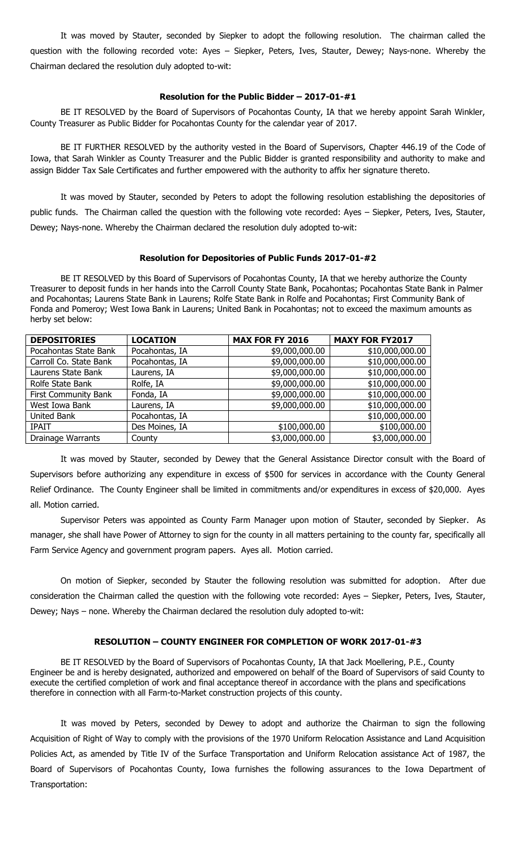It was moved by Stauter, seconded by Siepker to adopt the following resolution. The chairman called the question with the following recorded vote: Ayes – Siepker, Peters, Ives, Stauter, Dewey; Nays-none. Whereby the Chairman declared the resolution duly adopted to-wit:

## **Resolution for the Public Bidder – 2017-01-#1**

BE IT RESOLVED by the Board of Supervisors of Pocahontas County, IA that we hereby appoint Sarah Winkler, County Treasurer as Public Bidder for Pocahontas County for the calendar year of 2017.

BE IT FURTHER RESOLVED by the authority vested in the Board of Supervisors, Chapter 446.19 of the Code of Iowa, that Sarah Winkler as County Treasurer and the Public Bidder is granted responsibility and authority to make and assign Bidder Tax Sale Certificates and further empowered with the authority to affix her signature thereto.

It was moved by Stauter, seconded by Peters to adopt the following resolution establishing the depositories of public funds. The Chairman called the question with the following vote recorded: Ayes – Siepker, Peters, Ives, Stauter, Dewey; Nays-none. Whereby the Chairman declared the resolution duly adopted to-wit:

#### **Resolution for Depositories of Public Funds 2017-01-#2**

BE IT RESOLVED by this Board of Supervisors of Pocahontas County, IA that we hereby authorize the County Treasurer to deposit funds in her hands into the Carroll County State Bank, Pocahontas; Pocahontas State Bank in Palmer and Pocahontas; Laurens State Bank in Laurens; Rolfe State Bank in Rolfe and Pocahontas; First Community Bank of Fonda and Pomeroy; West Iowa Bank in Laurens; United Bank in Pocahontas; not to exceed the maximum amounts as herby set below:

| <b>DEPOSITORIES</b>         | <b>LOCATION</b> | <b>MAX FOR FY 2016</b> | <b>MAXY FOR FY2017</b> |
|-----------------------------|-----------------|------------------------|------------------------|
| Pocahontas State Bank       | Pocahontas, IA  | \$9,000,000.00         | \$10,000,000.00        |
| Carroll Co. State Bank      | Pocahontas, IA  | \$9,000,000.00         | \$10,000,000.00        |
| Laurens State Bank          | Laurens, IA     | \$9,000,000.00         | \$10,000,000.00        |
| Rolfe State Bank            | Rolfe, IA       | \$9,000,000.00         | \$10,000,000.00        |
| <b>First Community Bank</b> | Fonda, IA       | \$9,000,000.00         | \$10,000,000.00        |
| West Iowa Bank              | Laurens, IA     | \$9,000,000.00         | \$10,000,000.00        |
| United Bank                 | Pocahontas, IA  |                        | \$10,000,000.00        |
| <b>IPAIT</b>                | Des Moines, IA  | \$100,000.00           | \$100,000.00           |
| Drainage Warrants           | County          | \$3,000,000.00         | \$3,000,000.00         |

It was moved by Stauter, seconded by Dewey that the General Assistance Director consult with the Board of Supervisors before authorizing any expenditure in excess of \$500 for services in accordance with the County General Relief Ordinance. The County Engineer shall be limited in commitments and/or expenditures in excess of \$20,000. Ayes all. Motion carried.

Supervisor Peters was appointed as County Farm Manager upon motion of Stauter, seconded by Siepker. As manager, she shall have Power of Attorney to sign for the county in all matters pertaining to the county far, specifically all Farm Service Agency and government program papers. Ayes all. Motion carried.

On motion of Siepker, seconded by Stauter the following resolution was submitted for adoption. After due consideration the Chairman called the question with the following vote recorded: Ayes – Siepker, Peters, Ives, Stauter, Dewey; Nays – none. Whereby the Chairman declared the resolution duly adopted to-wit:

### **RESOLUTION – COUNTY ENGINEER FOR COMPLETION OF WORK 2017-01-#3**

BE IT RESOLVED by the Board of Supervisors of Pocahontas County, IA that Jack Moellering, P.E., County Engineer be and is hereby designated, authorized and empowered on behalf of the Board of Supervisors of said County to execute the certified completion of work and final acceptance thereof in accordance with the plans and specifications therefore in connection with all Farm-to-Market construction projects of this county.

It was moved by Peters, seconded by Dewey to adopt and authorize the Chairman to sign the following Acquisition of Right of Way to comply with the provisions of the 1970 Uniform Relocation Assistance and Land Acquisition Policies Act, as amended by Title IV of the Surface Transportation and Uniform Relocation assistance Act of 1987, the Board of Supervisors of Pocahontas County, Iowa furnishes the following assurances to the Iowa Department of Transportation: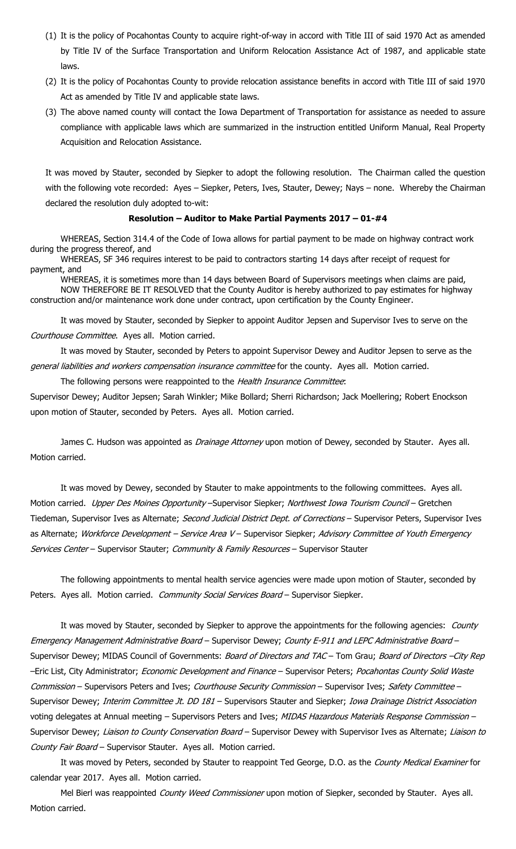- (1) It is the policy of Pocahontas County to acquire right-of-way in accord with Title III of said 1970 Act as amended by Title IV of the Surface Transportation and Uniform Relocation Assistance Act of 1987, and applicable state laws.
- (2) It is the policy of Pocahontas County to provide relocation assistance benefits in accord with Title III of said 1970 Act as amended by Title IV and applicable state laws.
- (3) The above named county will contact the Iowa Department of Transportation for assistance as needed to assure compliance with applicable laws which are summarized in the instruction entitled Uniform Manual, Real Property Acquisition and Relocation Assistance.

It was moved by Stauter, seconded by Siepker to adopt the following resolution. The Chairman called the question with the following vote recorded: Ayes – Siepker, Peters, Ives, Stauter, Dewey; Nays – none. Whereby the Chairman declared the resolution duly adopted to-wit:

### **Resolution – Auditor to Make Partial Payments 2017 – 01-#4**

WHEREAS, Section 314.4 of the Code of Iowa allows for partial payment to be made on highway contract work during the progress thereof, and

WHEREAS, SF 346 requires interest to be paid to contractors starting 14 days after receipt of request for payment, and

WHEREAS, it is sometimes more than 14 days between Board of Supervisors meetings when claims are paid, NOW THEREFORE BE IT RESOLVED that the County Auditor is hereby authorized to pay estimates for highway construction and/or maintenance work done under contract, upon certification by the County Engineer.

It was moved by Stauter, seconded by Siepker to appoint Auditor Jepsen and Supervisor Ives to serve on the Courthouse Committee. Ayes all. Motion carried.

It was moved by Stauter, seconded by Peters to appoint Supervisor Dewey and Auditor Jepsen to serve as the general liabilities and workers compensation insurance committee for the county. Ayes all. Motion carried.

The following persons were reappointed to the Health Insurance Committee:

Supervisor Dewey; Auditor Jepsen; Sarah Winkler; Mike Bollard; Sherri Richardson; Jack Moellering; Robert Enockson upon motion of Stauter, seconded by Peters. Ayes all. Motion carried.

James C. Hudson was appointed as *Drainage Attorney* upon motion of Dewey, seconded by Stauter. Ayes all. Motion carried.

It was moved by Dewey, seconded by Stauter to make appointments to the following committees. Ayes all. Motion carried. Upper Des Moines Opportunity - Supervisor Siepker; Northwest Iowa Tourism Council - Gretchen Tiedeman, Supervisor Ives as Alternate; Second Judicial District Dept. of Corrections - Supervisor Peters, Supervisor Ives as Alternate; Workforce Development - Service Area V - Supervisor Siepker; Advisory Committee of Youth Emergency Services Center – Supervisor Stauter; Community & Family Resources – Supervisor Stauter

The following appointments to mental health service agencies were made upon motion of Stauter, seconded by Peters. Ayes all. Motion carried. Community Social Services Board - Supervisor Siepker.

It was moved by Stauter, seconded by Siepker to approve the appointments for the following agencies: County Emergency Management Administrative Board - Supervisor Dewey; County E-911 and LEPC Administrative Board -Supervisor Dewey; MIDAS Council of Governments: Board of Directors and TAC - Tom Grau; Board of Directors -City Rep –Eric List, City Administrator; Economic Development and Finance – Supervisor Peters; Pocahontas County Solid Waste Commission - Supervisors Peters and Ives; Courthouse Security Commission - Supervisor Ives; Safety Committee -Supervisor Dewey; Interim Committee Jt. DD 181 - Supervisors Stauter and Siepker; Iowa Drainage District Association voting delegates at Annual meeting – Supervisors Peters and Ives; MIDAS Hazardous Materials Response Commission – Supervisor Dewey; Liaison to County Conservation Board - Supervisor Dewey with Supervisor Ives as Alternate; Liaison to County Fair Board - Supervisor Stauter. Ayes all. Motion carried.

It was moved by Peters, seconded by Stauter to reappoint Ted George, D.O. as the County Medical Examiner for calendar year 2017. Ayes all. Motion carried.

Mel Bierl was reappointed County Weed Commissioner upon motion of Siepker, seconded by Stauter. Ayes all. Motion carried.